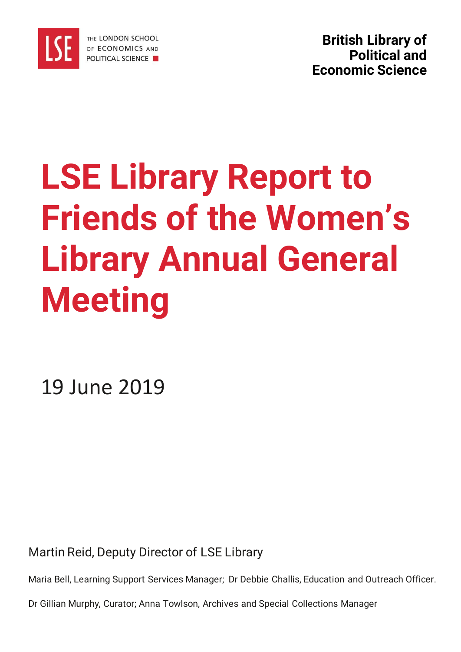

**British Library of Political and Economic Science**

# **LSE Library Report to Friends of the Women's Library Annual General Meeting**

19 June 2019

Martin Reid, Deputy Director of LSE Library

Maria Bell, Learning Support Services Manager; Dr Debbie Challis, Education and Outreach Officer.

Dr Gillian Murphy, Curator; Anna Towlson, Archives and Special Collections Manager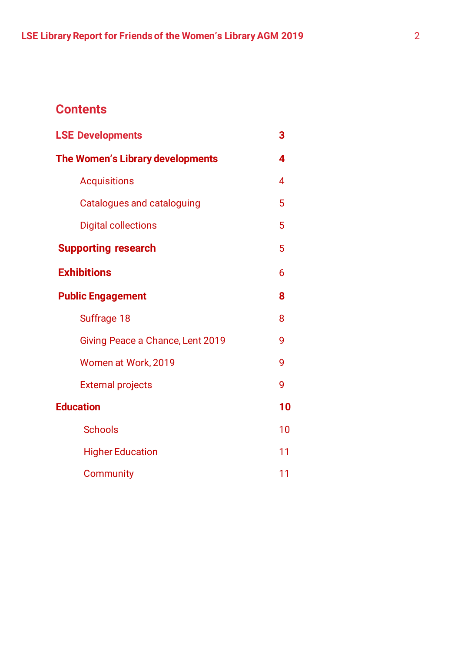## **Contents**

| <b>LSE Developments</b>           | 3  |
|-----------------------------------|----|
| The Women's Library developments  | 4  |
| <b>Acquisitions</b>               | 4  |
| <b>Catalogues and cataloguing</b> | 5  |
| <b>Digital collections</b>        | 5  |
| <b>Supporting research</b>        | 5  |
| <b>Exhibitions</b>                | 6  |
| <b>Public Engagement</b>          | 8  |
| Suffrage 18                       | 8  |
| Giving Peace a Chance, Lent 2019  | 9  |
| Women at Work, 2019               | 9  |
| <b>External projects</b>          | 9  |
| <b>Education</b>                  | 10 |
| <b>Schools</b>                    | 10 |
| <b>Higher Education</b>           | 11 |
| Community                         | 11 |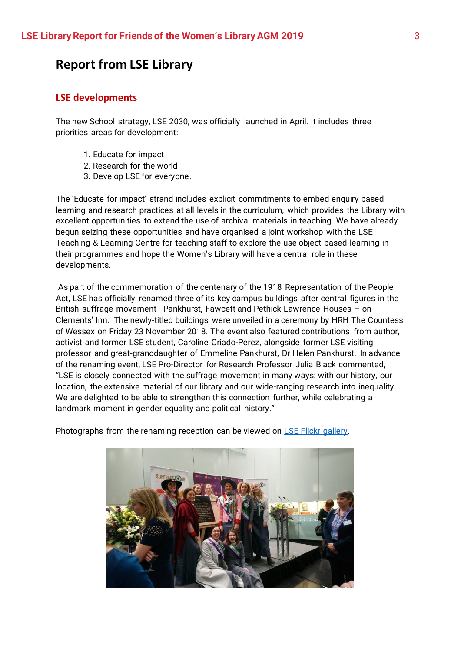## **Report from LSE Library**

#### **LSE developments**

The new School strategy, LSE 2030, was officially launched in April. It includes three priorities areas for development:

- 1. Educate for impact
- 2. Research for the world
- 3. Develop LSE for everyone.

The 'Educate for impact' strand includes explicit commitments to embed enquiry based learning and research practices at all levels in the curriculum, which provides the Library with excellent opportunities to extend the use of archival materials in teaching. We have already begun seizing these opportunities and have organised a joint workshop with the LSE Teaching & Learning Centre for teaching staff to explore the use object based learning in their programmes and hope the Women's Library will have a central role in these developments.

As part of the commemoration of the centenary of the 1918 Representation of the People Act, LSE has officially renamed three of its key campus buildings after central figures in the British suffrage movement - Pankhurst, Fawcett and Pethick-Lawrence Houses – on Clements' Inn. The newly-titled buildings were unveiled in a ceremony by HRH The Countess of Wessex on Friday 23 November 2018. The event also featured contributions from author, activist and former LSE student, Caroline Criado-Perez, alongside former LSE visiting professor and great-granddaughter of Emmeline Pankhurst, Dr Helen Pankhurst. In advance of the renaming event, LSE Pro-Director for Research Professor Julia Black commented, "LSE is closely connected with the suffrage movement in many ways: with our history, our location, the extensive material of our library and our wide-ranging research into inequality. We are delighted to be able to strengthen this connection further, while celebrating a landmark moment in gender equality and political history."



Photographs from the renaming reception can be viewed on [LSE Flickr gallery.](https://www.flickr.com/photos/lseinpictures/albums/72157700812393502)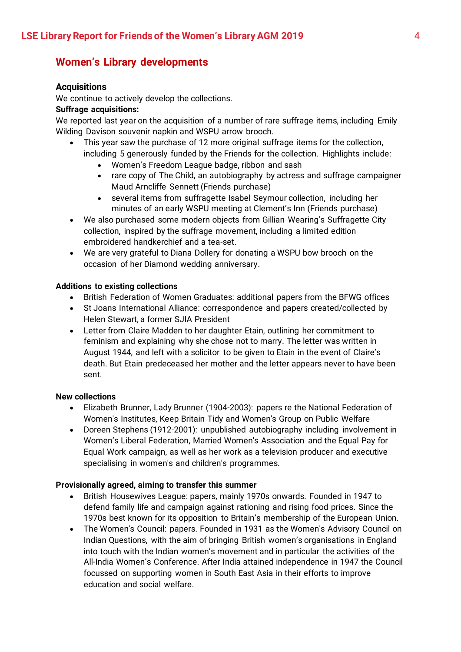## **Women's Library developments**

#### **Acquisitions**

We continue to actively develop the collections.

#### **Suffrage acquisitions:**

We reported last year on the acquisition of a number of rare suffrage items, including Emily Wilding Davison souvenir napkin and WSPU arrow brooch.

- This year saw the purchase of 12 more original suffrage items for the collection, including 5 generously funded by the Friends for the collection. Highlights include:
	- Women's Freedom League badge, ribbon and sash
	- rare copy of The Child, an autobiography by actress and suffrage campaigner Maud Arncliffe Sennett (Friends purchase)
	- several items from suffragette Isabel Seymour collection, including her minutes of an early WSPU meeting at Clement's Inn (Friends purchase)
- We also purchased some modern objects from Gillian Wearing's Suffragette City collection, inspired by the suffrage movement, including a limited edition embroidered handkerchief and a tea-set.
- We are very grateful to Diana Dollery for donating a WSPU bow brooch on the occasion of her Diamond wedding anniversary.

#### **Additions to existing collections**

- British Federation of Women Graduates: additional papers from the BFWG offices
- St Joans International Alliance: correspondence and papers created/collected by Helen Stewart, a former SJIA President
- Letter from Claire Madden to her daughter Etain, outlining her commitment to feminism and explaining why she chose not to marry. The letter was written in August 1944, and left with a solicitor to be given to Etain in the event of Claire's death. But Etain predeceased her mother and the letter appears never to have been sent.

#### **New collections**

- Elizabeth Brunner, Lady Brunner (1904-2003): papers re the National Federation of Women's Institutes, Keep Britain Tidy and Women's Group on Public Welfare
- Doreen Stephens (1912-2001): unpublished autobiography including involvement in Women's Liberal Federation, Married Women's Association and the Equal Pay for Equal Work campaign, as well as her work as a television producer and executive specialising in women's and children's programmes.

#### **Provisionally agreed, aiming to transfer this summer**

- British Housewives League: papers, mainly 1970s onwards. Founded in 1947 to defend family life and campaign against rationing and rising food prices. Since the 1970s best known for its opposition to Britain's membership of the European Union.
- The Women's Council: papers. Founded in 1931 as the Women's Advisory Council on Indian Questions, with the aim of bringing British women's organisations in England into touch with the Indian women's movement and in particular the activities of the All-India Women's Conference. After India attained independence in 1947 the Council focussed on supporting women in South East Asia in their efforts to improve education and social welfare.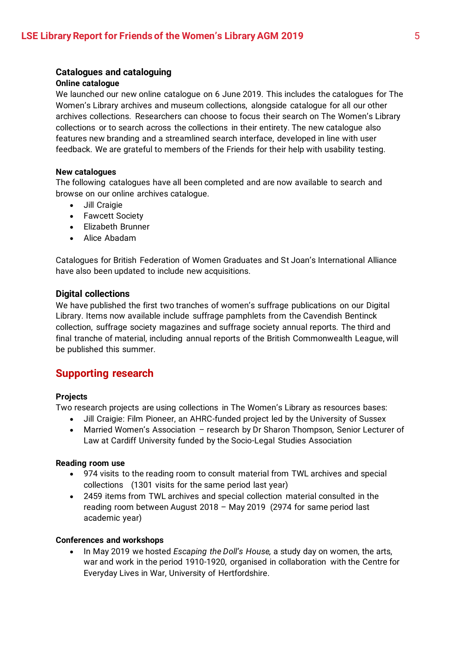#### **Catalogues and cataloguing**

#### **Online catalogue**

We launched our new online catalogue on 6 June 2019. This includes the catalogues for The Women's Library archives and museum collections, alongside catalogue for all our other archives collections. Researchers can choose to focus their search on The Women's Library collections or to search across the collections in their entirety. The new catalogue also features new branding and a streamlined search interface, developed in line with user feedback. We are grateful to members of the Friends for their help with usability testing.

#### **New catalogues**

The following catalogues have all been completed and are now available to search and browse on our online archives catalogue.

- Jill Craigie
- Fawcett Society
- Elizabeth Brunner
- Alice Abadam

Catalogues for British Federation of Women Graduates and St Joan's International Alliance have also been updated to include new acquisitions.

#### **Digital collections**

We have published the first two tranches of women's suffrage publications on our Digital Library. Items now available include suffrage pamphlets from the Cavendish Bentinck collection, suffrage society magazines and suffrage society annual reports. The third and final tranche of material, including annual reports of the British Commonwealth League, will be published this summer.

## **Supporting research**

#### **Projects**

Two research projects are using collections in The Women's Library as resources bases:

- Jill Craigie: Film Pioneer, an AHRC-funded project led by the University of Sussex
- Married Women's Association research by Dr Sharon Thompson, Senior Lecturer of Law at Cardiff University funded by the Socio-Legal Studies Association

#### **Reading room use**

- 974 visits to the reading room to consult material from TWL archives and special collections (1301 visits for the same period last year)
- 2459 items from TWL archives and special collection material consulted in the reading room between August 2018 – May 2019 (2974 for same period last academic year)

#### **Conferences and workshops**

 In May 2019 we hosted *Escaping the Doll's House,* a study day on women, the arts, war and work in the period 1910-1920, organised in collaboration with the Centre for Everyday Lives in War, University of Hertfordshire.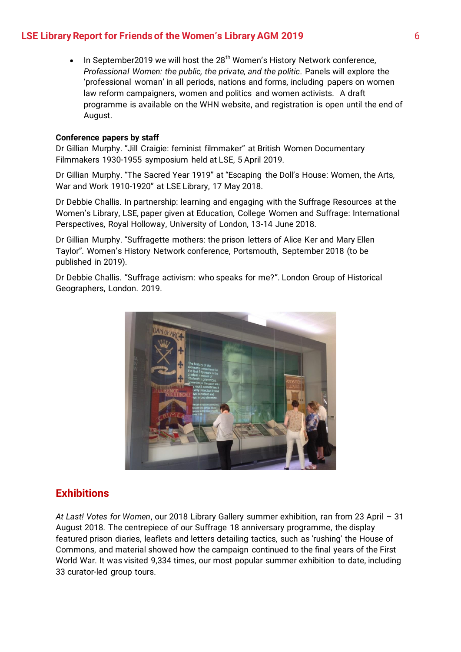## **LSE Library Report for Friends of the Women's Library AGM 2019** 6

In September2019 we will host the  $28<sup>th</sup>$  Women's History Network conference, *Professional Women: the public, the private, and the politic*. Panels will explore the 'professional woman' in all periods, nations and forms, including papers on women law reform campaigners, women and politics and women activists. A draft programme is available on the WHN website, and registration is open until the end of August.

#### **Conference papers by staff**

Dr Gillian Murphy. "Jill Craigie: feminist filmmaker" at British Women Documentary Filmmakers 1930-1955 symposium held at LSE, 5 April 2019.

Dr Gillian Murphy. "The Sacred Year 1919" at "Escaping the Doll's House: Women, the Arts, War and Work 1910-1920" at LSE Library, 17 May 2018.

Dr Debbie Challis. In partnership: learning and engaging with the Suffrage Resources at the Women's Library, LSE, paper given at Education, College Women and Suffrage: International Perspectives, Royal Holloway, University of London, 13-14 June 2018.

Dr Gillian Murphy. "Suffragette mothers: the prison letters of Alice Ker and Mary Ellen Taylor". Women's History Network conference, Portsmouth, September 2018 (to be published in 2019).

Dr Debbie Challis. "Suffrage activism: who speaks for me?". London Group of Historical Geographers, London. 2019.



## **Exhibitions**

*At Last! Votes for Women*, our 2018 Library Gallery summer exhibition, ran from 23 April – 31 August 2018. The centrepiece of our Suffrage 18 anniversary programme, the display featured prison diaries, leaflets and letters detailing tactics, such as 'rushing' the House of Commons, and material showed how the campaign continued to the final years of the First World War. It was visited 9,334 times, our most popular summer exhibition to date, including 33 curator-led group tours.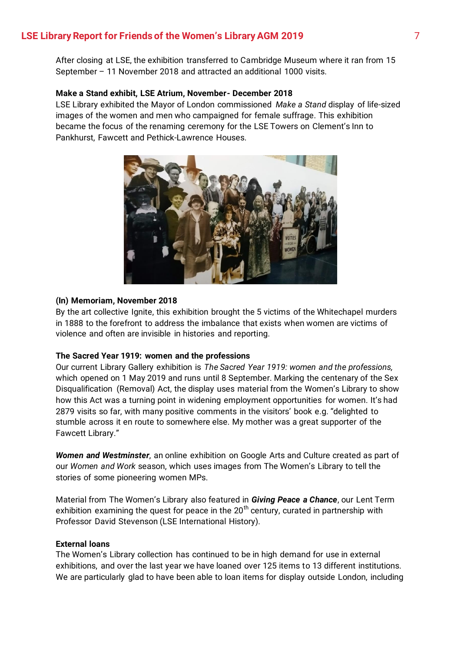After closing at LSE, the exhibition transferred to Cambridge Museum where it ran from 15 September – 11 November 2018 and attracted an additional 1000 visits.

#### **Make a Stand exhibit, LSE Atrium, November- December 2018**

LSE Library exhibited the Mayor of London commissioned *Make a Stand* display of life-sized images of the women and men who campaigned for female suffrage. This exhibition became the focus of the renaming ceremony for the LSE Towers on Clement's Inn to Pankhurst, Fawcett and Pethick-Lawrence Houses.



#### **(In) Memoriam, November 2018**

By the art collective Ignite, this exhibition brought the 5 victims of the Whitechapel murders in 1888 to the forefront to address the imbalance that exists when women are victims of violence and often are invisible in histories and reporting.

#### **The Sacred Year 1919: women and the professions**

Our current Library Gallery exhibition is *The Sacred Year 1919: women and the professions,*  which opened on 1 May 2019 and runs until 8 September. Marking the centenary of the Sex Disqualification (Removal) Act, the display uses material from the Women's Library to show how this Act was a turning point in widening employment opportunities for women. It's had 2879 visits so far, with many positive comments in the visitors' book e.g. "delighted to stumble across it en route to somewhere else. My mother was a great supporter of the Fawcett Library."

*Women and Westminster*, an online exhibition on Google Arts and Culture created as part of our *Women and Work* season, which uses images from The Women's Library to tell the stories of some pioneering women MPs.

Material from The Women's Library also featured in *Giving Peace a Chance*, our Lent Term exhibition examining the quest for peace in the  $20<sup>th</sup>$  century, curated in partnership with Professor David Stevenson (LSE International History).

#### **External loans**

The Women's Library collection has continued to be in high demand for use in external exhibitions, and over the last year we have loaned over 125 items to 13 different institutions. We are particularly glad to have been able to loan items for display outside London, including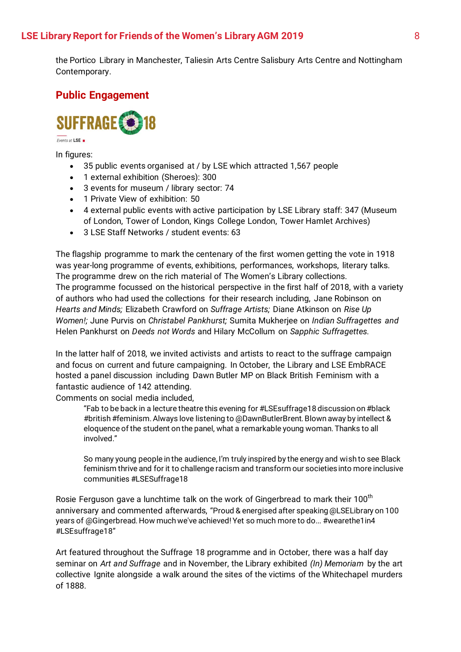the Portico Library in Manchester, Taliesin Arts Centre Salisbury Arts Centre and Nottingham Contemporary.

## **Public Engagement**



 $\overline{\overline{\mathsf{Events}}}$  at LSE

In figures:

- 35 public events organised at / by LSE which attracted 1,567 people
- 1 external exhibition (Sheroes): 300
- 3 events for museum / library sector: 74
- 1 Private View of exhibition: 50
- 4 external public events with active participation by LSE Library staff: 347 (Museum of London, Tower of London, Kings College London, Tower Hamlet Archives)
- 3 LSE Staff Networks / student events: 63

The flagship programme to mark the centenary of the first women getting the vote in 1918 was year-long programme of events, exhibitions, performances, workshops, literary talks. The programme drew on the rich material of The Women's Library collections. The programme focussed on the historical perspective in the first half of 2018, with a variety of authors who had used the collections for their research including, Jane Robinson on *Hearts and Minds;* Elizabeth Crawford on *Suffrage Artists;* Diane Atkinson on *Rise Up Women!;* June Purvis on *Christabel Pankhurst;* Sumita Mukherjee on *Indian Suffragettes and*  Helen Pankhurst on *Deeds not Words* and Hilary McCollum on *Sapphic Suffragettes.*

In the latter half of 2018*,* we invited activists and artists to react to the suffrage campaign and focus on current and future campaigning. In October, the Library and LSE EmbRACE hosted a panel discussion including Dawn Butler MP on Black British Feminism with a fantastic audience of 142 attending.

Comments on social media included,

"Fab to be back in a lecture theatre this evening for #LSEsuffrage18 discussion on #black #british #feminism. Always love listening to @DawnButlerBrent. Blown away by intellect & eloquence of the student on the panel, what a remarkable young woman. Thanks to all involved."

So many young people in the audience, I'm truly inspired by the energy and wish to see Black feminism thrive and for it to challenge racism and transform our societies into more inclusive communities #LSESuffrage18

Rosie Ferguson gave a lunchtime talk on the work of Gingerbread to mark their 100<sup>th</sup> anniversary and commented afterwards, "Proud & energised after speaking @LSELibrary on 100 years of @Gingerbread. How much we've achieved! Yet so much more to do... #wearethe1in4 #LSEsuffrage18"

Art featured throughout the Suffrage 18 programme and in October, there was a half day seminar on *Art and Suffrage* and in November, the Library exhibited *(In) Memoriam* by the art collective Ignite alongside a walk around the sites of the victims of the Whitechapel murders of 1888.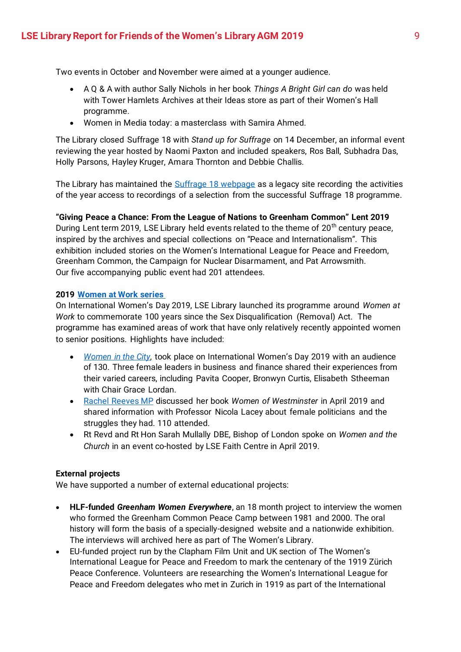Two events in October and November were aimed at a younger audience.

- A Q & A with author Sally Nichols in her book *Things A Bright Girl can do* was held with Tower Hamlets Archives at their Ideas store as part of their Women's Hall programme.
- Women in Media today: a masterclass with Samira Ahmed.

The Library closed Suffrage 18 with *Stand up for Suffrage* on 14 December, an informal event reviewing the year hosted by Naomi Paxton and included speakers, Ros Ball, Subhadra Das, Holly Parsons, Hayley Kruger, Amara Thornton and Debbie Challis.

The Library has maintained the [Suffrage 18 webpage](http://www.lse.ac.uk/library/exhibitions/suffrage18) as a legacy site recording the activities of the year access to recordings of a selection from the successful Suffrage 18 programme.

**"Giving Peace a Chance: From the League of Nations to Greenham Common" Lent 2019**

During Lent term 2019, LSE Library held events related to the theme of  $20<sup>th</sup>$  century peace, inspired by the archives and special collections on "Peace and Internationalism". This exhibition included stories on the Women's International League for Peace and Freedom, Greenham Common, the Campaign for Nuclear Disarmament, and Pat Arrowsmith. Our five accompanying public event had 201 attendees.

#### **2019 [Women at Work series](http://www.lse.ac.uk/library/learning-support/women-at-work)**

On International Women's Day 2019, LSE Library launched its programme around *Women at Work* to commemorate 100 years since the Sex Disqualification (Removal) Act. The programme has examined areas of work that have only relatively recently appointed women to senior positions. Highlights have included:

- *[Women in the City](http://www.lse.ac.uk/lse-player?id=4650)*, took place on International Women's Day 2019 with an audience of 130. Three female leaders in business and finance shared their experiences from their varied careers, including Pavita Cooper, Bronwyn Curtis, Elisabeth Stheeman with Chair Grace Lordan.
- [Rachel Reeves MP](https://media.rawvoice.com/lse_library/richmedia.lse.ac.uk/library/20190426_WomeninWestminster_lib.mp4) discussed her book *Women of Westminster* in April 2019 and shared information with Professor Nicola Lacey about female politicians and the struggles they had. 110 attended.
- Rt Revd and Rt Hon Sarah Mullally DBE, Bishop of London spoke on *Women and the Church* in an event co-hosted by LSE Faith Centre in April 2019.

#### **External projects**

We have supported a number of external educational projects:

- **HLF-funded** *Greenham Women Everywhere*, an 18 month project to interview the women who formed the Greenham Common Peace Camp between 1981 and 2000. The oral history will form the basis of a specially-designed website and a nationwide exhibition. The interviews will archived here as part of The Women's Library.
- EU-funded project run by the Clapham Film Unit and UK section of The Women's International League for Peace and Freedom to mark the centenary of the 1919 Zürich Peace Conference. Volunteers are researching the Women's International League for Peace and Freedom delegates who met in Zurich in 1919 as part of the International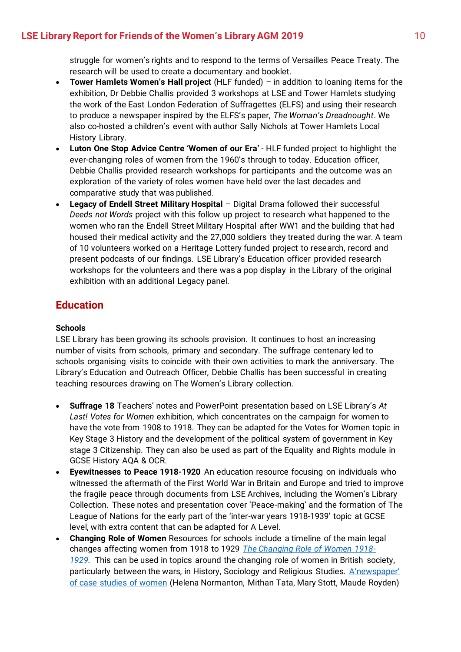## **LSE Library Report for Friends of the Women's Library AGM 2019** 10

struggle for women's rights and to respond to the terms of Versailles Peace Treaty. The research will be used to create a documentary and booklet.

- **Tower Hamlets Women's Hall project** (HLF funded) in addition to loaning items for the exhibition, Dr Debbie Challis provided 3 workshops at LSE and Tower Hamlets studying the work of the East London Federation of Suffragettes (ELFS) and using their research to produce a newspaper inspired by the ELFS's paper, *The Woman's Dreadnought*. We also co-hosted a children's event with author Sally Nichols at Tower Hamlets Local History Library.
- **Luton One Stop Advice Centre 'Women of our Era'** HLF funded project to highlight the ever-changing roles of women from the 1960's through to today. Education officer, Debbie Challis provided research workshops for participants and the outcome was an exploration of the variety of roles women have held over the last decades and comparative study that was published.
- **Legacy of Endell Street Military Hospital** Digital Drama followed their successful *Deeds not Words* project with this follow up project to research what happened to the women who ran the Endell Street Military Hospital after WW1 and the building that had housed their medical activity and the 27,000 soldiers they treated during the war. A team of 10 volunteers worked on a Heritage Lottery funded project to research, record and present podcasts of our findings. LSE Library's Education officer provided research workshops for the volunteers and there was a pop display in the Library of the original exhibition with an additional Legacy panel.

## **Education**

#### **Schools**

LSE Library has been growing its schools provision. It continues to host an increasing number of visits from schools, primary and secondary. The suffrage centenary led to schools organising visits to coincide with their own activities to mark the anniversary. The Library's Education and Outreach Officer, Debbie Challis has been successful in creating teaching resources drawing on The Women's Library collection.

- **Suffrage 18** Teachers' notes and PowerPoint presentation based on LSE Library's *At Last! Votes for Women* exhibition, which concentrates on the campaign for women to have the vote from 1908 to 1918. They can be adapted for the Votes for Women topic in Key Stage 3 History and the development of the political system of government in Key stage 3 Citizenship. They can also be used as part of the Equality and Rights module in GCSE History AQA & OCR.
- **Eyewitnesses to Peace 1918-1920** An education resource focusing on individuals who witnessed the aftermath of the First World War in Britain and Europe and tried to improve the fragile peace through documents from LSE Archives, including the Women's Library Collection. These notes and presentation cover 'Peace-making' and the formation of The League of Nations for the early part of the 'inter-war years 1918-1939' topic at GCSE level, with extra content that can be adapted for A Level.
- **Changing Role of Women** Resources for schools include a timeline of the main legal changes affecting women from 1918 to 1929 *[The Changing Role of Women 1918-](http://www.lse.ac.uk/library/assets/documents/A-Timeline-of-the-Changing-Role-Women-1918-to-29.pptx) [1929.](http://www.lse.ac.uk/library/assets/documents/A-Timeline-of-the-Changing-Role-Women-1918-to-29.pptx)* This can be used in topics around the changing role of women in British society, particularly between the wars, in History, Sociology and Religious Studies. A'newspaper' [of case studies of women](http://www.lse.ac.uk/library/assets/documents/Women-Work-Newspaper-Case-Studies.pdf) (Helena Normanton, Mithan Tata, Mary Stott, Maude Royden)